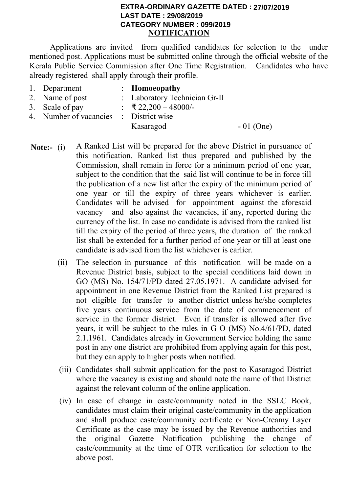## **KERALA PUBLIC SERVICE COMMISSION CATEGORY NUMBER : 099/2019 NOTIFICATION EXTRA-ORDINARY GAZETTE DATED : 26/07/2019 File No.DR3-4/50004/2018-KPSC 27/07/2019LAST DATE : 29/08/2019**

Applications are invited from qualified candidates for selection to the under mentioned post. Applications must be submitted online through the official website of the Kerala Public Service Commission after One Time Registration. Candidates who have already registered shall apply through their profile.

| 1. Department                          | $\therefore$ Homoeopathy      |             |
|----------------------------------------|-------------------------------|-------------|
| 2. Name of post                        | : Laboratory Technician Gr-II |             |
| 3. Scale of pay                        | $\div$ ₹ 22,200 - 48000/-     |             |
| 4. Number of vacancies : District wise |                               |             |
|                                        | Kasaragod                     | $-01$ (One) |
|                                        |                               |             |

- **Note:-** (i) A Ranked List will be prepared for the above District in pursuance of this notification. Ranked list thus prepared and published by the Commission, shall remain in force for a minimum period of one year, subject to the condition that the said list will continue to be in force till the publication of a new list after the expiry of the minimum period of one year or till the expiry of three years whichever is earlier. Candidates will be advised for appointment against the aforesaid vacancy and also against the vacancies, if any, reported during the currency of the list. In case no candidate is advised from the ranked list till the expiry of the period of three years, the duration of the ranked list shall be extended for a further period of one year or till at least one candidate is advised from the list whichever is earlier.
	- (ii) The selection in pursuance of this notification will be made on a Revenue District basis, subject to the special conditions laid down in GO (MS) No. 154/71/PD dated 27.05.1971. A candidate advised for appointment in one Revenue District from the Ranked List prepared is not eligible for transfer to another district unless he/she completes five years continuous service from the date of commencement of service in the former district. Even if transfer is allowed after five years, it will be subject to the rules in G O (MS) No.4/61/PD, dated 2.1.1961. Candidates already in Government Service holding the same post in any one district are prohibited from applying again for this post, but they can apply to higher posts when notified.
	- (iii) Candidates shall submit application for the post to Kasaragod District where the vacancy is existing and should note the name of that District against the relevant column of the online application.
	- (iv) In case of change in caste/community noted in the SSLC Book, candidates must claim their original caste/community in the application and shall produce caste/community certificate or Non-Creamy Layer Certificate as the case may be issued by the Revenue authorities and the original Gazette Notification publishing the change of caste/community at the time of OTR verification for selection to the above post.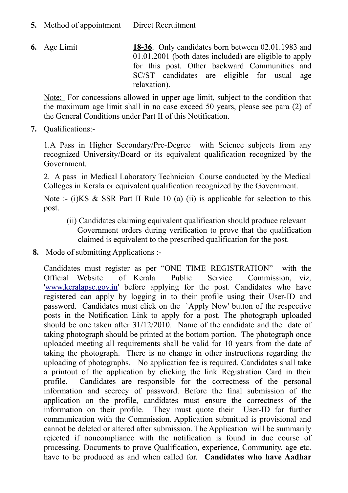- **5.** Method of appointment Direct Recruitment
- **6.** Age Limit **18-36**. Only candidates born between 02.01.1983 and 01.01.2001 (both dates included) are eligible to apply for this post. Other backward Communities and SC/ST candidates are eligible for usual age relaxation).

Note: For concessions allowed in upper age limit, subject to the condition that the maximum age limit shall in no case exceed 50 years, please see para (2) of the General Conditions under Part II of this Notification.

**7.** Qualifications:-

1.A Pass in Higher Secondary/Pre-Degree with Science subjects from any recognized University/Board or its equivalent qualification recognized by the Government.

2. A pass in Medical Laboratory Technician Course conducted by the Medical Colleges in Kerala or equivalent qualification recognized by the Government.

Note :- (i) KS & SSR Part II Rule 10 (a) (ii) is applicable for selection to this post.

- (ii) Candidates claiming equivalent qualification should produce relevant Government orders during verification to prove that the qualification claimed is equivalent to the prescribed qualification for the post.
- **8.** Mode of submitting Applications :-

Candidates must register as per "ONE TIME REGISTRATION" with the Official Website of Kerala Public Service Commission, viz, ['www.keralapsc.gov.in'](http://www.keralapsc.gov.in/) before applying for the post. Candidates who have registered can apply by logging in to their profile using their User-ID and password. Candidates must click on the `Apply Now' button of the respective posts in the Notification Link to apply for a post. The photograph uploaded should be one taken after 31/12/2010. Name of the candidate and the date of taking photograph should be printed at the bottom portion. The photograph once uploaded meeting all requirements shall be valid for 10 years from the date of taking the photograph. There is no change in other instructions regarding the uploading of photographs. No application fee is required. Candidates shall take a printout of the application by clicking the link Registration Card in their profile. Candidates are responsible for the correctness of the personal information and secrecy of password. Before the final submission of the application on the profile, candidates must ensure the correctness of the information on their profile. They must quote their User-ID for further communication with the Commission. Application submitted is provisional and cannot be deleted or altered after submission. The Application will be summarily rejected if noncompliance with the notification is found in due course of processing. Documents to prove Qualification, experience, Community, age etc. have to be produced as and when called for. **Candidates who have Aadhar**